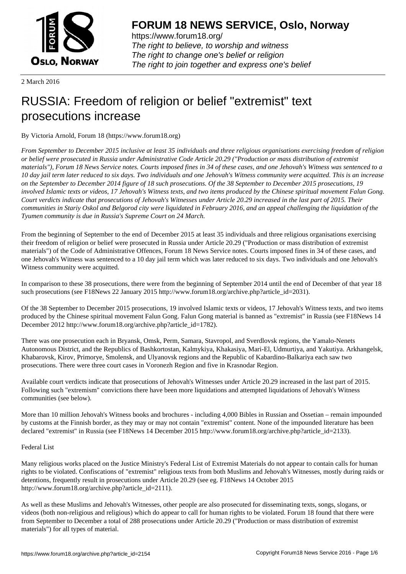

https://www.forum18.org/ The right to believe, to worship and witness The right to change one's belief or religion [The right to join together a](https://www.forum18.org/)nd express one's belief

2 March 2016

## [RUSSIA: Freed](https://www.forum18.org)om of religion or belief "extremist" text prosecutions increase

By Victoria Arnold, Forum 18 (https://www.forum18.org)

*From September to December 2015 inclusive at least 35 individuals and three religious organisations exercising freedom of religion or belief were prosecuted in Russia under Administrative Code Article 20.29 ("Production or mass distribution of extremist materials"), Forum 18 News Service notes. Courts imposed fines in 34 of these cases, and one Jehovah's Witness was sentenced to a 10 day jail term later reduced to six days. Two individuals and one Jehovah's Witness community were acquitted. This is an increase on the September to December 2014 figure of 18 such prosecutions. Of the 38 September to December 2015 prosecutions, 19 involved Islamic texts or videos, 17 Jehovah's Witness texts, and two items produced by the Chinese spiritual movement Falun Gong. Court verdicts indicate that prosecutions of Jehovah's Witnesses under Article 20.29 increased in the last part of 2015. Their communities in Stariy Oskol and Belgorod city were liquidated in February 2016, and an appeal challenging the liquidation of the Tyumen community is due in Russia's Supreme Court on 24 March.*

From the beginning of September to the end of December 2015 at least 35 individuals and three religious organisations exercising their freedom of religion or belief were prosecuted in Russia under Article 20.29 ("Production or mass distribution of extremist materials") of the Code of Administrative Offences, Forum 18 News Service notes. Courts imposed fines in 34 of these cases, and one Jehovah's Witness was sentenced to a 10 day jail term which was later reduced to six days. Two individuals and one Jehovah's Witness community were acquitted.

In comparison to these 38 prosecutions, there were from the beginning of September 2014 until the end of December of that year 18 such prosecutions (see F18News 22 January 2015 http://www.forum18.org/archive.php?article\_id=2031).

Of the 38 September to December 2015 prosecutions, 19 involved Islamic texts or videos, 17 Jehovah's Witness texts, and two items produced by the Chinese spiritual movement Falun Gong. Falun Gong material is banned as "extremist" in Russia (see F18News 14 December 2012 http://www.forum18.org/archive.php?article\_id=1782).

There was one prosecution each in Bryansk, Omsk, Perm, Samara, Stavropol, and Sverdlovsk regions, the Yamalo-Nenets Autonomous District, and the Republics of Bashkortostan, Kalmykiya, Khakasiya, Mari-El, Udmurtiya, and Yakutiya. Arkhangelsk, Khabarovsk, Kirov, Primorye, Smolensk, and Ulyanovsk regions and the Republic of Kabardino-Balkariya each saw two prosecutions. There were three court cases in Voronezh Region and five in Krasnodar Region.

Available court verdicts indicate that prosecutions of Jehovah's Witnesses under Article 20.29 increased in the last part of 2015. Following such "extremism" convictions there have been more liquidations and attempted liquidations of Jehovah's Witness communities (see below).

More than 10 million Jehovah's Witness books and brochures - including 4,000 Bibles in Russian and Ossetian – remain impounded by customs at the Finnish border, as they may or may not contain "extremist" content. None of the impounded literature has been declared "extremist" in Russia (see F18News 14 December 2015 http://www.forum18.org/archive.php?article\_id=2133).

## Federal List

Many religious works placed on the Justice Ministry's Federal List of Extremist Materials do not appear to contain calls for human rights to be violated. Confiscations of "extremist" religious texts from both Muslims and Jehovah's Witnesses, mostly during raids or detentions, frequently result in prosecutions under Article 20.29 (see eg. F18News 14 October 2015 http://www.forum18.org/archive.php?article\_id=2111).

As well as these Muslims and Jehovah's Witnesses, other people are also prosecuted for disseminating texts, songs, slogans, or videos (both non-religious and religious) which do appear to call for human rights to be violated. Forum 18 found that there were from September to December a total of 288 prosecutions under Article 20.29 ("Production or mass distribution of extremist materials") for all types of material.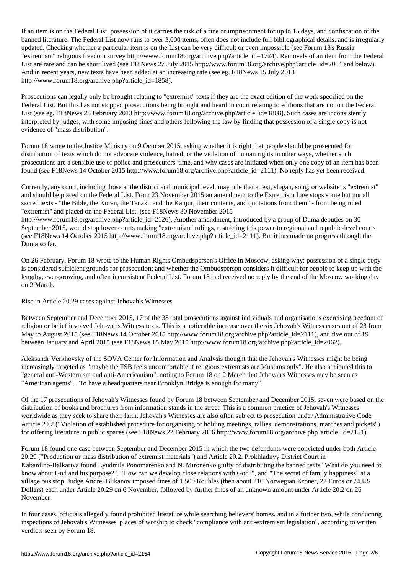If an item is on the Federal List, possession of a fine or imprisonment for up to 15 days, and confiscation of the risk of the risk of the risk of the risk of the risk of the risk of the risk of the risk of the risk of th banned literature. The Federal List now runs to over 3,000 items, often does not include full bibliographical details, and is irregularly updated. Checking whether a particular item is on the List can be very difficult or even impossible (see Forum 18's Russia "extremism" religious freedom survey http://www.forum18.org/archive.php?article\_id=1724). Removals of an item from the Federal List are rare and can be short lived (see F18News 27 July 2015 http://www.forum18.org/archive.php?article\_id=2084 and below). And in recent years, new texts have been added at an increasing rate (see eg. F18News 15 July 2013 http://www.forum18.org/archive.php?article\_id=1858).

Prosecutions can legally only be brought relating to "extremist" texts if they are the exact edition of the work specified on the Federal List. But this has not stopped prosecutions being brought and heard in court relating to editions that are not on the Federal List (see eg. F18News 28 February 2013 http://www.forum18.org/archive.php?article\_id=1808). Such cases are inconsistently interpreted by judges, with some imposing fines and others following the law by finding that possession of a single copy is not evidence of "mass distribution".

Forum 18 wrote to the Justice Ministry on 9 October 2015, asking whether it is right that people should be prosecuted for distribution of texts which do not advocate violence, hatred, or the violation of human rights in other ways, whether such prosecutions are a sensible use of police and prosecutors' time, and why cases are initiated when only one copy of an item has been found (see F18News 14 October 2015 http://www.forum18.org/archive.php?article\_id=2111). No reply has yet been received.

Currently, any court, including those at the district and municipal level, may rule that a text, slogan, song, or website is "extremist" and should be placed on the Federal List. From 23 November 2015 an amendment to the Extremism Law stops some but not all sacred texts - "the Bible, the Koran, the Tanakh and the Kanjur, their contents, and quotations from them" - from being ruled "extremist" and placed on the Federal List (see F18News 30 November 2015

http://www.forum18.org/archive.php?article\_id=2126). Another amendment, introduced by a group of Duma deputies on 30 September 2015, would stop lower courts making "extremism" rulings, restricting this power to regional and republic-level courts (see F18News 14 October 2015 http://www.forum18.org/archive.php?article\_id=2111). But it has made no progress through the Duma so far.

On 26 February, Forum 18 wrote to the Human Rights Ombudsperson's Office in Moscow, asking why: possession of a single copy is considered sufficient grounds for prosecution; and whether the Ombudsperson considers it difficult for people to keep up with the lengthy, ever-growing, and often inconsistent Federal List. Forum 18 had received no reply by the end of the Moscow working day on 2 March.

Rise in Article 20.29 cases against Jehovah's Witnesses

Between September and December 2015, 17 of the 38 total prosecutions against individuals and organisations exercising freedom of religion or belief involved Jehovah's Witness texts. This is a noticeable increase over the six Jehovah's Witness cases out of 23 from May to August 2015 (see F18News 14 October 2015 http://www.forum18.org/archive.php?article\_id=2111), and five out of 19 between January and April 2015 (see F18News 15 May 2015 http://www.forum18.org/archive.php?article\_id=2062).

Aleksandr Verkhovsky of the SOVA Center for Information and Analysis thought that the Jehovah's Witnesses might be being increasingly targeted as "maybe the FSB feels uncomfortable if religious extremists are Muslims only". He also attributed this to "general anti-Westernism and anti-Americanism", noting to Forum 18 on 2 March that Jehovah's Witnesses may be seen as "American agents". "To have a headquarters near Brooklyn Bridge is enough for many".

Of the 17 prosecutions of Jehovah's Witnesses found by Forum 18 between September and December 2015, seven were based on the distribution of books and brochures from information stands in the street. This is a common practice of Jehovah's Witnesses worldwide as they seek to share their faith. Jehovah's Witnesses are also often subject to prosecution under Administrative Code Article 20.2 ("Violation of established procedure for organising or holding meetings, rallies, demonstrations, marches and pickets") for offering literature in public spaces (see F18News 22 February 2016 http://www.forum18.org/archive.php?article\_id=2151).

Forum 18 found one case between September and December 2015 in which the two defendants were convicted under both Article 20.29 ("Production or mass distribution of extremist materials") and Article 20.2. Prokhladnyy District Court in Kabardino-Balkariya found Lyudmila Ponomarenko and N. Mironenko guilty of distributing the banned texts "What do you need to know about God and his purpose?", "How can we develop close relations with God?", and "The secret of family happiness" at a village bus stop. Judge Andrei Blikanov imposed fines of 1,500 Roubles (then about 210 Norwegian Kroner, 22 Euros or 24 US Dollars) each under Article 20.29 on 6 November, followed by further fines of an unknown amount under Article 20.2 on 26 November.

In four cases, officials allegedly found prohibited literature while searching believers' homes, and in a further two, while conducting inspections of Jehovah's Witnesses' places of worship to check "compliance with anti-extremism legislation", according to written verdicts seen by Forum 18.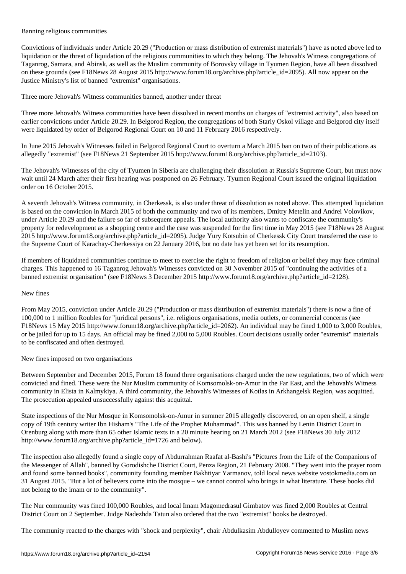Banning religious communities

Convictions of individuals under Article 20.29 ("Production or mass distribution of extremist materials") have as noted above led to liquidation or the threat of liquidation of the religious communities to which they belong. The Jehovah's Witness congregations of Taganrog, Samara, and Abinsk, as well as the Muslim community of Borovsky village in Tyumen Region, have all been dissolved on these grounds (see F18News 28 August 2015 http://www.forum18.org/archive.php?article\_id=2095). All now appear on the Justice Ministry's list of banned "extremist" organisations.

Three more Jehovah's Witness communities banned, another under threat

Three more Jehovah's Witness communities have been dissolved in recent months on charges of "extremist activity", also based on earlier convictions under Article 20.29. In Belgorod Region, the congregations of both Stariy Oskol village and Belgorod city itself were liquidated by order of Belgorod Regional Court on 10 and 11 February 2016 respectively.

In June 2015 Jehovah's Witnesses failed in Belgorod Regional Court to overturn a March 2015 ban on two of their publications as allegedly "extremist" (see F18News 21 September 2015 http://www.forum18.org/archive.php?article\_id=2103).

The Jehovah's Witnesses of the city of Tyumen in Siberia are challenging their dissolution at Russia's Supreme Court, but must now wait until 24 March after their first hearing was postponed on 26 February. Tyumen Regional Court issued the original liquidation order on 16 October 2015.

A seventh Jehovah's Witness community, in Cherkessk, is also under threat of dissolution as noted above. This attempted liquidation is based on the conviction in March 2015 of both the community and two of its members, Dmitry Metelin and Andrei Volovikov, under Article 20.29 and the failure so far of subsequent appeals. The local authority also wants to confiscate the community's property for redevelopment as a shopping centre and the case was suspended for the first time in May 2015 (see F18News 28 August 2015 http://www.forum18.org/archive.php?article\_id=2095). Judge Yury Kotsubin of Cherkessk City Court transferred the case to the Supreme Court of Karachay-Cherkessiya on 22 January 2016, but no date has yet been set for its resumption.

If members of liquidated communities continue to meet to exercise the right to freedom of religion or belief they may face criminal charges. This happened to 16 Taganrog Jehovah's Witnesses convicted on 30 November 2015 of "continuing the activities of a banned extremist organisation" (see F18News 3 December 2015 http://www.forum18.org/archive.php?article\_id=2128).

## New fines

From May 2015, conviction under Article 20.29 ("Production or mass distribution of extremist materials") there is now a fine of 100,000 to 1 million Roubles for "juridical persons", i.e. religious organisations, media outlets, or commercial concerns (see F18News 15 May 2015 http://www.forum18.org/archive.php?article\_id=2062). An individual may be fined 1,000 to 3,000 Roubles, or be jailed for up to 15 days. An official may be fined 2,000 to 5,000 Roubles. Court decisions usually order "extremist" materials to be confiscated and often destroyed.

New fines imposed on two organisations

Between September and December 2015, Forum 18 found three organisations charged under the new regulations, two of which were convicted and fined. These were the Nur Muslim community of Komsomolsk-on-Amur in the Far East, and the Jehovah's Witness community in Elista in Kalmykiya. A third community, the Jehovah's Witnesses of Kotlas in Arkhangelsk Region, was acquitted. The prosecution appealed unsuccessfully against this acquittal.

State inspections of the Nur Mosque in Komsomolsk-on-Amur in summer 2015 allegedly discovered, on an open shelf, a single copy of 19th century writer Ibn Hisham's "The Life of the Prophet Muhammad". This was banned by Lenin District Court in Orenburg along with more than 65 other Islamic texts in a 20 minute hearing on 21 March 2012 (see F18News 30 July 2012 http://www.forum18.org/archive.php?article\_id=1726 and below).

The inspection also allegedly found a single copy of Abdurrahman Raafat al-Bashi's "Pictures from the Life of the Companions of the Messenger of Allah", banned by Gorodishche District Court, Penza Region, 21 February 2008. "They went into the prayer room and found some banned books", community founding member Bakhtiyar Yarmanov, told local news website vostokmedia.com on 31 August 2015. "But a lot of believers come into the mosque – we cannot control who brings in what literature. These books did not belong to the imam or to the community".

The Nur community was fined 100,000 Roubles, and local Imam Magomedrasul Gimbatov was fined 2,000 Roubles at Central District Court on 2 September. Judge Nadezhda Tatun also ordered that the two "extremist" books be destroyed.

The community reacted to the charges with "shock and perplexity", chair Abdulkasim Abdulloyev commented to Muslim news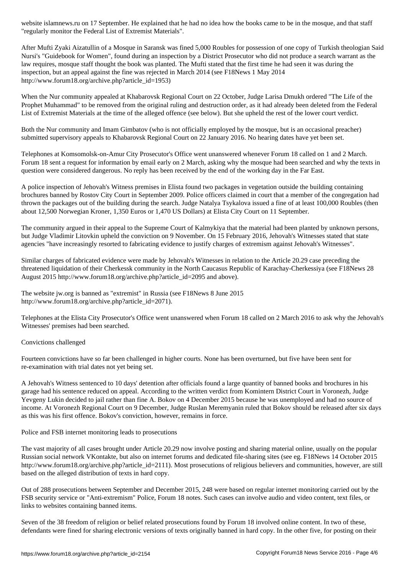"regularly monitor the Federal List of Extremist Materials".

After Mufti Zyaki Aizatullin of a Mosque in Saransk was fined 5,000 Roubles for possession of one copy of Turkish theologian Said Nursi's "Guidebook for Women", found during an inspection by a District Prosecutor who did not produce a search warrant as the law requires, mosque staff thought the book was planted. The Mufti stated that the first time he had seen it was during the inspection, but an appeal against the fine was rejected in March 2014 (see F18News 1 May 2014 http://www.forum18.org/archive.php?article\_id=1953)

When the Nur community appealed at Khabarovsk Regional Court on 22 October, Judge Larisa Dmukh ordered "The Life of the Prophet Muhammad" to be removed from the original ruling and destruction order, as it had already been deleted from the Federal List of Extremist Materials at the time of the alleged offence (see below). But she upheld the rest of the lower court verdict.

Both the Nur community and Imam Gimbatov (who is not officially employed by the mosque, but is an occasional preacher) submitted supervisory appeals to Khabarovsk Regional Court on 22 January 2016. No hearing dates have yet been set.

Telephones at Komsomolsk-on-Amur City Prosecutor's Office went unanswered whenever Forum 18 called on 1 and 2 March. Forum 18 sent a request for information by email early on 2 March, asking why the mosque had been searched and why the texts in question were considered dangerous. No reply has been received by the end of the working day in the Far East.

A police inspection of Jehovah's Witness premises in Elista found two packages in vegetation outside the building containing brochures banned by Rostov City Court in September 2009. Police officers claimed in court that a member of the congregation had thrown the packages out of the building during the search. Judge Natalya Tsykalova issued a fine of at least 100,000 Roubles (then about 12,500 Norwegian Kroner, 1,350 Euros or 1,470 US Dollars) at Elista City Court on 11 September.

The community argued in their appeal to the Supreme Court of Kalmykiya that the material had been planted by unknown persons, but Judge Vladimir Litovkin upheld the conviction on 9 November. On 15 February 2016, Jehovah's Witnesses stated that state agencies "have increasingly resorted to fabricating evidence to justify charges of extremism against Jehovah's Witnesses".

Similar charges of fabricated evidence were made by Jehovah's Witnesses in relation to the Article 20.29 case preceding the threatened liquidation of their Cherkessk community in the North Caucasus Republic of Karachay-Cherkessiya (see F18News 28 August 2015 http://www.forum18.org/archive.php?article\_id=2095 and above).

The website jw.org is banned as "extremist" in Russia (see F18News 8 June 2015 http://www.forum18.org/archive.php?article\_id=2071).

Telephones at the Elista City Prosecutor's Office went unanswered when Forum 18 called on 2 March 2016 to ask why the Jehovah's Witnesses' premises had been searched.

## Convictions challenged

Fourteen convictions have so far been challenged in higher courts. None has been overturned, but five have been sent for re-examination with trial dates not yet being set.

A Jehovah's Witness sentenced to 10 days' detention after officials found a large quantity of banned books and brochures in his garage had his sentence reduced on appeal. According to the written verdict from Komintern District Court in Voronezh, Judge Yevgeny Lukin decided to jail rather than fine A. Bokov on 4 December 2015 because he was unemployed and had no source of income. At Voronezh Regional Court on 9 December, Judge Ruslan Meremyanin ruled that Bokov should be released after six days as this was his first offence. Bokov's conviction, however, remains in force.

Police and FSB internet monitoring leads to prosecutions

The vast majority of all cases brought under Article 20.29 now involve posting and sharing material online, usually on the popular Russian social network VKontakte, but also on internet forums and dedicated file-sharing sites (see eg. F18News 14 October 2015 http://www.forum18.org/archive.php?article\_id=2111). Most prosecutions of religious believers and communities, however, are still based on the alleged distribution of texts in hard copy.

Out of 288 prosecutions between September and December 2015, 248 were based on regular internet monitoring carried out by the FSB security service or "Anti-extremism" Police, Forum 18 notes. Such cases can involve audio and video content, text files, or links to websites containing banned items.

Seven of the 38 freedom of religion or belief related prosecutions found by Forum 18 involved online content. In two of these, defendants were fined for sharing electronic versions of texts originally banned in hard copy. In the other five, for posting on their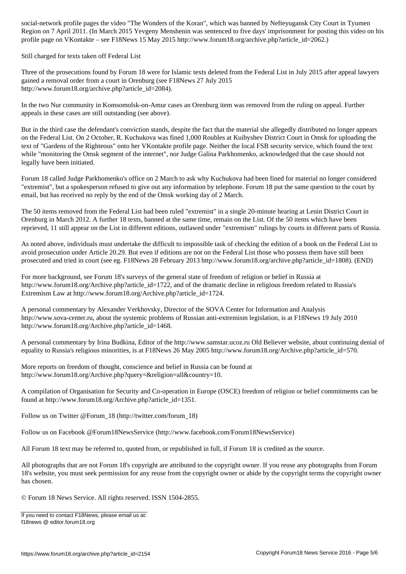Region on 7 April 2011. (In March 2015 Yevgeny Menshenin was sentenced to five days' imprisonment for posting this video on his profile page on VKontakte – see F18News 15 May 2015 http://www.forum18.org/archive.php?article\_id=2062.)

Still charged for texts taken off Federal List

Three of the prosecutions found by Forum 18 were for Islamic texts deleted from the Federal List in July 2015 after appeal lawyers gained a removal order from a court in Orenburg (see F18News 27 July 2015 http://www.forum18.org/archive.php?article\_id=2084).

In the two Nur community in Komsomolsk-on-Amur cases an Orenburg item was removed from the ruling on appeal. Further appeals in these cases are still outstanding (see above).

But in the third case the defendant's conviction stands, despite the fact that the material she allegedly distributed no longer appears on the Federal List. On 2 October, R. Kuchukova was fined 1,000 Roubles at Kuibyshev District Court in Omsk for uploading the text of "Gardens of the Righteous" onto her VKontakte profile page. Neither the local FSB security service, which found the text while "monitoring the Omsk segment of the internet", nor Judge Galina Parkhomenko, acknowledged that the case should not legally have been initiated.

Forum 18 called Judge Parkhomenko's office on 2 March to ask why Kuchukova had been fined for material no longer considered "extremist", but a spokesperson refused to give out any information by telephone. Forum 18 put the same question to the court by email, but has received no reply by the end of the Omsk working day of 2 March.

The 50 items removed from the Federal List had been ruled "extremist" in a single 20-minute hearing at Lenin District Court in Orenburg in March 2012. A further 18 texts, banned at the same time, remain on the List. Of the 50 items which have been reprieved, 11 still appear on the List in different editions, outlawed under "extremism" rulings by courts in different parts of Russia.

As noted above, individuals must undertake the difficult to impossible task of checking the edition of a book on the Federal List to avoid prosecution under Article 20.29. But even if editions are not on the Federal List those who possess them have still been prosecuted and tried in court (see eg. F18News 28 February 2013 http://www.forum18.org/archive.php?article\_id=1808). (END)

For more background, see Forum 18's surveys of the general state of freedom of religion or belief in Russia at http://www.forum18.org/Archive.php?article\_id=1722, and of the dramatic decline in religious freedom related to Russia's Extremism Law at http://www.forum18.org/Archive.php?article\_id=1724.

A personal commentary by Alexander Verkhovsky, Director of the SOVA Center for Information and Analysis http://www.sova-center.ru, about the systemic problems of Russian anti-extremism legislation, is at F18News 19 July 2010 http://www.forum18.org/Archive.php?article\_id=1468.

A personal commentary by Irina Budkina, Editor of the http://www.samstar.ucoz.ru Old Believer website, about continuing denial of equality to Russia's religious minorities, is at F18News 26 May 2005 http://www.forum18.org/Archive.php?article\_id=570.

More reports on freedom of thought, conscience and belief in Russia can be found at http://www.forum18.org/Archive.php?query=&religion=all&country=10.

A compilation of Organisation for Security and Co-operation in Europe (OSCE) freedom of religion or belief commitments can be found at http://www.forum18.org/Archive.php?article\_id=1351.

Follow us on Twitter @Forum\_18 (http://twitter.com/forum\_18)

Follow us on Facebook @Forum18NewsService (http://www.facebook.com/Forum18NewsService)

All Forum 18 text may be referred to, quoted from, or republished in full, if Forum 18 is credited as the source.

All photographs that are not Forum 18's copyright are attributed to the copyright owner. If you reuse any photographs from Forum 18's website, you must seek permission for any reuse from the copyright owner or abide by the copyright terms the copyright owner has chosen.

© Forum 18 News Service. All rights reserved. ISSN 1504-2855.

If you need to contact F18News, please email us at: f18news @ editor.forum18.org